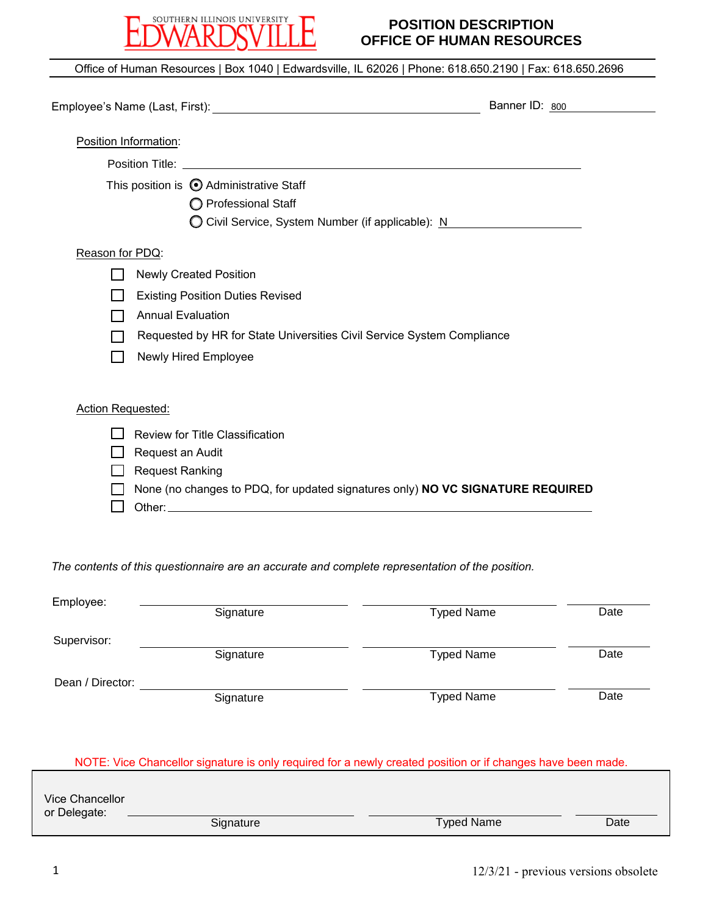

## **POSITION DESCRIPTION OFFICE OF HUMAN RESOURCES**

|                       |                                                                                                                                                                                                                                      | Banner ID: 800                                    |
|-----------------------|--------------------------------------------------------------------------------------------------------------------------------------------------------------------------------------------------------------------------------------|---------------------------------------------------|
|                       |                                                                                                                                                                                                                                      |                                                   |
| Position Information: |                                                                                                                                                                                                                                      |                                                   |
|                       | Position Title: <u>the contract of the contract of the contract of the contract of the contract of the contract of the contract of the contract of the contract of the contract of the contract of the contract of the contract </u> |                                                   |
|                       | This position is @ Administrative Staff                                                                                                                                                                                              |                                                   |
|                       | O Professional Staff                                                                                                                                                                                                                 |                                                   |
|                       |                                                                                                                                                                                                                                      | ◯ Civil Service, System Number (if applicable): N |
| Reason for PDQ:       |                                                                                                                                                                                                                                      |                                                   |
|                       | <b>Newly Created Position</b>                                                                                                                                                                                                        |                                                   |
|                       | <b>Existing Position Duties Revised</b>                                                                                                                                                                                              |                                                   |
|                       | <b>Annual Evaluation</b>                                                                                                                                                                                                             |                                                   |
|                       | Requested by HR for State Universities Civil Service System Compliance                                                                                                                                                               |                                                   |
|                       | <b>Newly Hired Employee</b>                                                                                                                                                                                                          |                                                   |
| Action Requested:     |                                                                                                                                                                                                                                      |                                                   |
|                       | <b>Review for Title Classification</b>                                                                                                                                                                                               |                                                   |
|                       | Request an Audit                                                                                                                                                                                                                     |                                                   |
|                       | <b>Request Ranking</b>                                                                                                                                                                                                               |                                                   |
|                       | None (no changes to PDQ, for updated signatures only) NO VC SIGNATURE REQUIRED                                                                                                                                                       |                                                   |
|                       |                                                                                                                                                                                                                                      |                                                   |

| Employee:        |           |                   |      |
|------------------|-----------|-------------------|------|
|                  | Signature | <b>Typed Name</b> | Date |
|                  |           |                   |      |
| Supervisor:      |           |                   |      |
|                  | Signature | <b>Typed Name</b> | Date |
| Dean / Director: |           |                   |      |
|                  | Signature | <b>Typed Name</b> | Date |
|                  |           |                   |      |

NOTE: Vice Chancellor signature is only required for a newly created position or if changes have been made.

| Vice Chancellor<br>or Delegate: |           |                   |      |
|---------------------------------|-----------|-------------------|------|
|                                 | Signature | <b>Typed Name</b> | Date |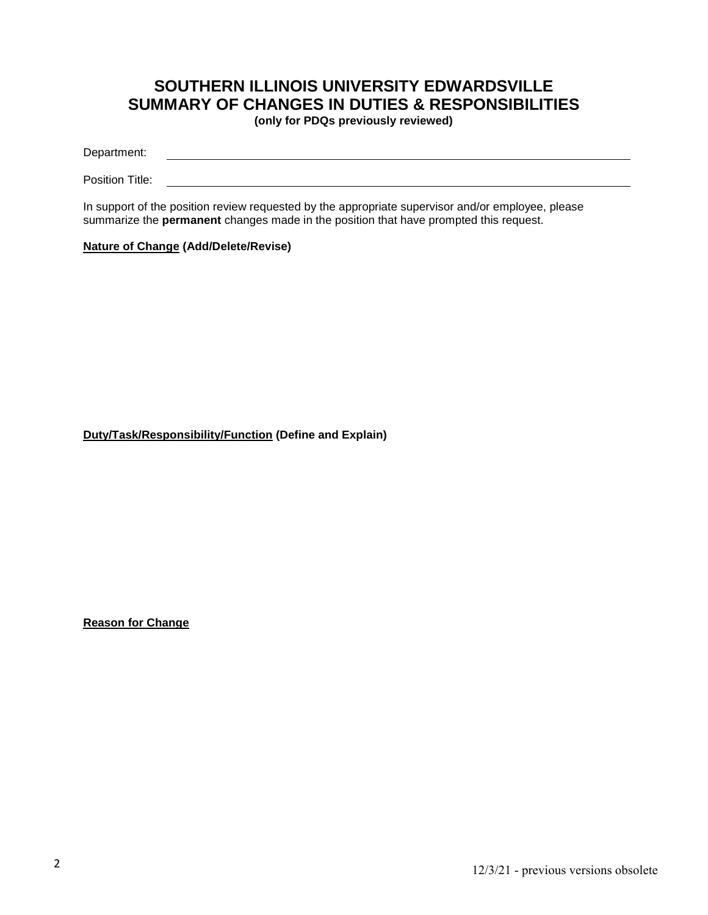# **SOUTHERN ILLINOIS UNIVERSITY EDWARDSVILLE SUMMARY OF CHANGES IN DUTIES & RESPONSIBILITIES**

**(only for PDQs previously reviewed)**

Department:

Position Title:

In support of the position review requested by the appropriate supervisor and/or employee, please summarize the **permanent** changes made in the position that have prompted this request.

### **Nature of Change (Add/Delete/Revise)**

**Duty/Task/Responsibility/Function (Define and Explain)**

**Reason for Change**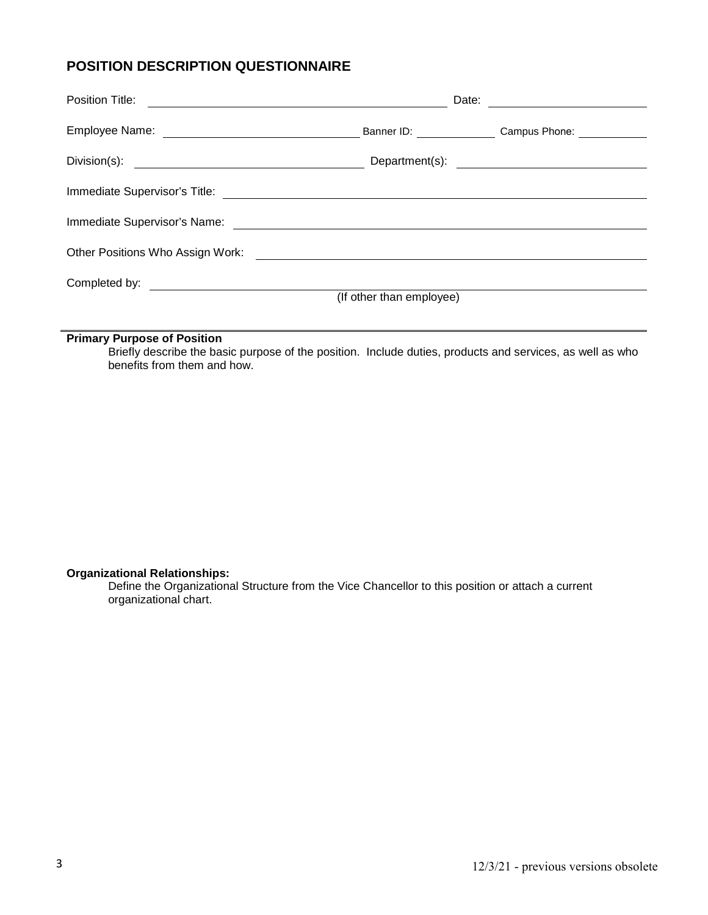# **POSITION DESCRIPTION QUESTIONNAIRE**

|                                                                                                                                                                                                                                | Date:<br><u> 1989 - Johann Stein, fransk politik (</u> |                          |  |  |
|--------------------------------------------------------------------------------------------------------------------------------------------------------------------------------------------------------------------------------|--------------------------------------------------------|--------------------------|--|--|
|                                                                                                                                                                                                                                |                                                        | Banner ID: Campus Phone: |  |  |
|                                                                                                                                                                                                                                |                                                        |                          |  |  |
|                                                                                                                                                                                                                                |                                                        |                          |  |  |
|                                                                                                                                                                                                                                |                                                        |                          |  |  |
| Other Positions Who Assign Work: \\efficient \\efficient \\efficient \\efficient \\efficient \\efficient \\efficient \\efficient \\efficient \\efficient \\efficient \\efficient \\efficient \\efficient \\efficient \\efficie |                                                        |                          |  |  |
|                                                                                                                                                                                                                                |                                                        |                          |  |  |
|                                                                                                                                                                                                                                | (If other than employee)                               |                          |  |  |
|                                                                                                                                                                                                                                |                                                        |                          |  |  |

## **Primary Purpose of Position**

Briefly describe the basic purpose of the position. Include duties, products and services, as well as who benefits from them and how.

#### **Organizational Relationships:**

Define the Organizational Structure from the Vice Chancellor to this position or attach a current organizational chart.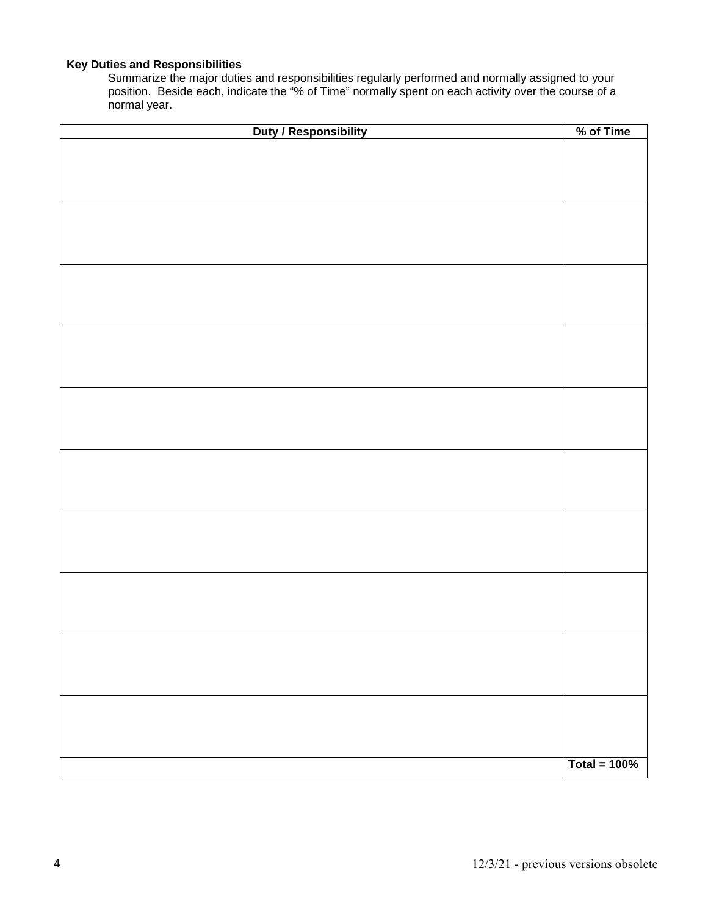## **Key Duties and Responsibilities**

Summarize the major duties and responsibilities regularly performed and normally assigned to your position. Beside each, indicate the "% of Time" normally spent on each activity over the course of a normal year.

| Duty / Responsibility | % of Time       |
|-----------------------|-----------------|
|                       |                 |
|                       |                 |
|                       |                 |
|                       |                 |
|                       |                 |
|                       |                 |
|                       |                 |
|                       |                 |
|                       |                 |
|                       |                 |
|                       |                 |
|                       |                 |
|                       |                 |
|                       |                 |
|                       |                 |
|                       |                 |
|                       |                 |
|                       |                 |
|                       |                 |
|                       |                 |
|                       |                 |
|                       |                 |
|                       |                 |
|                       |                 |
|                       |                 |
|                       |                 |
|                       |                 |
|                       |                 |
|                       |                 |
|                       |                 |
|                       |                 |
|                       |                 |
|                       |                 |
|                       |                 |
|                       |                 |
|                       |                 |
|                       |                 |
|                       |                 |
|                       |                 |
|                       | Total = $100\%$ |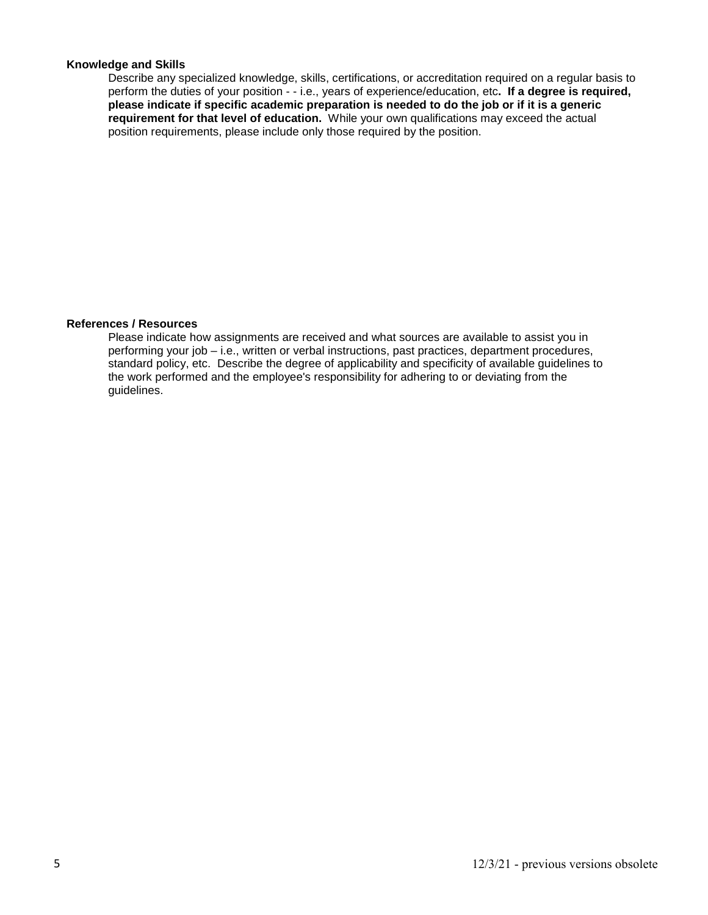### **Knowledge and Skills**

Describe any specialized knowledge, skills, certifications, or accreditation required on a regular basis to perform the duties of your position - - i.e., years of experience/education, etc**. If a degree is required, please indicate if specific academic preparation is needed to do the job or if it is a generic requirement for that level of education.** While your own qualifications may exceed the actual position requirements, please include only those required by the position.

#### **References / Resources**

Please indicate how assignments are received and what sources are available to assist you in performing your job – i.e., written or verbal instructions, past practices, department procedures, standard policy, etc. Describe the degree of applicability and specificity of available guidelines to the work performed and the employee's responsibility for adhering to or deviating from the guidelines.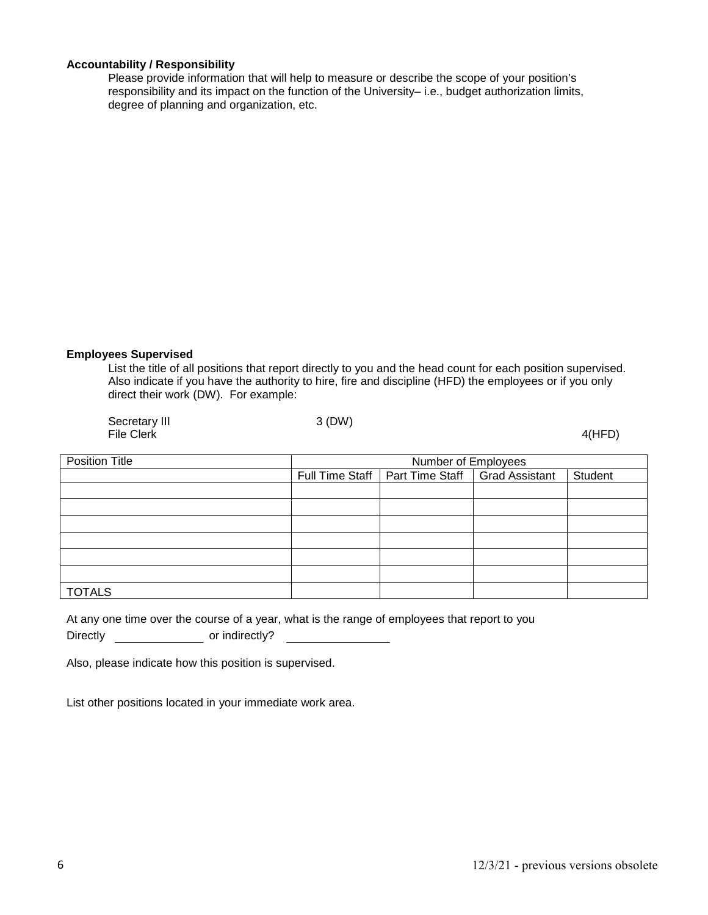### **Accountability / Responsibility**

Please provide information that will help to measure or describe the scope of your position's responsibility and its impact on the function of the University– i.e., budget authorization limits, degree of planning and organization, etc.

#### **Employees Supervised**

List the title of all positions that report directly to you and the head count for each position supervised. Also indicate if you have the authority to hire, fire and discipline (HFD) the employees or if you only direct their work (DW). For example:

| Secretary III<br><b>File Clerk</b> | 3(DW) |                                                    | 4(HFD)  |
|------------------------------------|-------|----------------------------------------------------|---------|
| <b>Position Title</b>              |       | Number of Employees                                |         |
|                                    |       | Full Time Staff   Part Time Staff   Grad Assistant | Student |
|                                    |       |                                                    |         |
|                                    |       |                                                    |         |
|                                    |       |                                                    |         |
|                                    |       |                                                    |         |
|                                    |       |                                                    |         |
|                                    |       |                                                    |         |
| <b>TOTALS</b>                      |       |                                                    |         |

|                 | At any one time over the course of a year, what is the range of employees that report to you |  |  |  |
|-----------------|----------------------------------------------------------------------------------------------|--|--|--|
| <b>Directly</b> | or indirectly?                                                                               |  |  |  |

Also, please indicate how this position is supervised.

List other positions located in your immediate work area.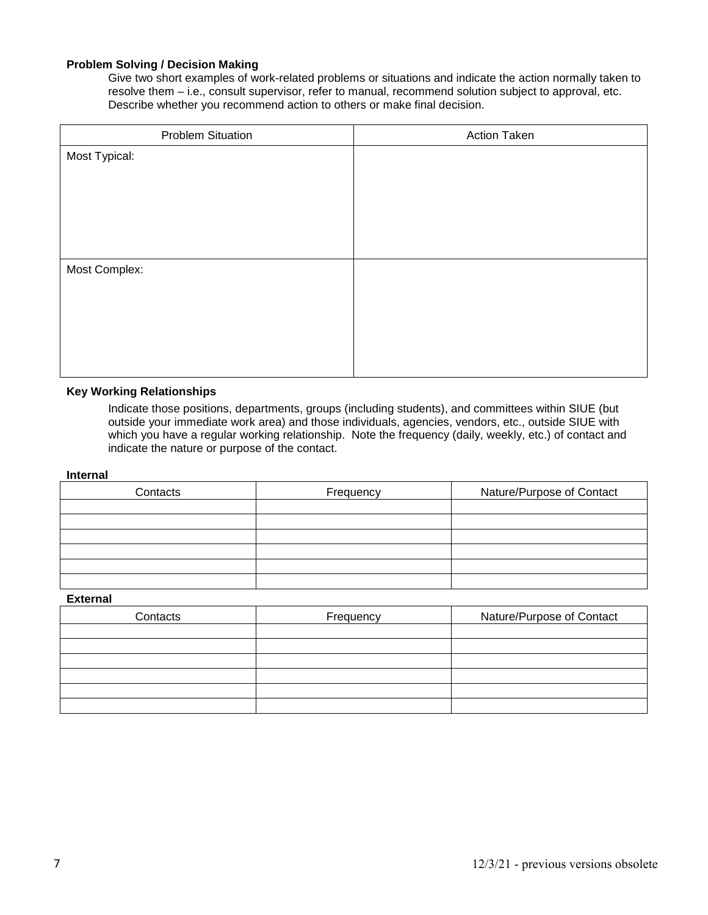### **Problem Solving / Decision Making**

Give two short examples of work-related problems or situations and indicate the action normally taken to resolve them – i.e., consult supervisor, refer to manual, recommend solution subject to approval, etc. Describe whether you recommend action to others or make final decision.

| <b>Problem Situation</b> | <b>Action Taken</b> |
|--------------------------|---------------------|
| Most Typical:            |                     |
|                          |                     |
|                          |                     |
|                          |                     |
|                          |                     |
|                          |                     |
| Most Complex:            |                     |
|                          |                     |
|                          |                     |
|                          |                     |
|                          |                     |
|                          |                     |

#### **Key Working Relationships**

Indicate those positions, departments, groups (including students), and committees within SIUE (but outside your immediate work area) and those individuals, agencies, vendors, etc., outside SIUE with which you have a regular working relationship. Note the frequency (daily, weekly, etc.) of contact and indicate the nature or purpose of the contact.

#### **Internal**

| Contacts | Frequency | Nature/Purpose of Contact |
|----------|-----------|---------------------------|
|          |           |                           |
|          |           |                           |
|          |           |                           |
|          |           |                           |
|          |           |                           |
|          |           |                           |

#### **External**

| Contacts | Frequency | Nature/Purpose of Contact |
|----------|-----------|---------------------------|
|          |           |                           |
|          |           |                           |
|          |           |                           |
|          |           |                           |
|          |           |                           |
|          |           |                           |